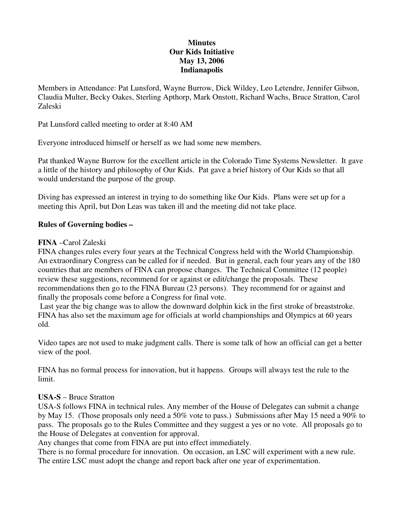### **Minutes Our Kids Initiative May 13, 2006 Indianapolis**

Members in Attendance: Pat Lunsford, Wayne Burrow, Dick Wildey, Leo Letendre, Jennifer Gibson, Claudia Multer, Becky Oakes, Sterling Apthorp, Mark Onstott, Richard Wachs, Bruce Stratton, Carol Zaleski

Pat Lunsford called meeting to order at 8:40 AM

Everyone introduced himself or herself as we had some new members.

Pat thanked Wayne Burrow for the excellent article in the Colorado Time Systems Newsletter. It gave a little of the history and philosophy of Our Kids. Pat gave a brief history of Our Kids so that all would understand the purpose of the group.

Diving has expressed an interest in trying to do something like Our Kids. Plans were set up for a meeting this April, but Don Leas was taken ill and the meeting did not take place.

# **Rules of Governing bodies –**

#### **FINA** –Carol Zaleski

FINA changes rules every four years at the Technical Congress held with the World Championship. An extraordinary Congress can be called for if needed. But in general, each four years any of the 180 countries that are members of FINA can propose changes. The Technical Committee (12 people) review these suggestions, recommend for or against or edit/change the proposals. These recommendations then go to the FINA Bureau (23 persons). They recommend for or against and finally the proposals come before a Congress for final vote.

Last year the big change was to allow the downward dolphin kick in the first stroke of breaststroke. FINA has also set the maximum age for officials at world championships and Olympics at 60 years old.

Video tapes are not used to make judgment calls. There is some talk of how an official can get a better view of the pool.

FINA has no formal process for innovation, but it happens. Groups will always test the rule to the limit.

#### **USA-S** – Bruce Stratton

USA-S follows FINA in technical rules. Any member of the House of Delegates can submit a change by May 15. (Those proposals only need a 50% vote to pass.) Submissions after May 15 need a 90% to pass. The proposals go to the Rules Committee and they suggest a yes or no vote. All proposals go to the House of Delegates at convention for approval.

Any changes that come from FINA are put into effect immediately.

There is no formal procedure for innovation. On occasion, an LSC will experiment with a new rule. The entire LSC must adopt the change and report back after one year of experimentation.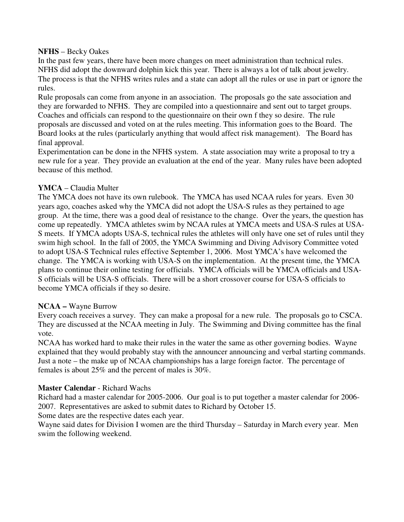#### **NFHS** – Becky Oakes

In the past few years, there have been more changes on meet administration than technical rules. NFHS did adopt the downward dolphin kick this year. There is always a lot of talk about jewelry. The process is that the NFHS writes rules and a state can adopt all the rules or use in part or ignore the rules.

Rule proposals can come from anyone in an association. The proposals go the sate association and they are forwarded to NFHS. They are compiled into a questionnaire and sent out to target groups. Coaches and officials can respond to the questionnaire on their own f they so desire. The rule proposals are discussed and voted on at the rules meeting. This information goes to the Board. The Board looks at the rules (particularly anything that would affect risk management). The Board has final approval.

Experimentation can be done in the NFHS system. A state association may write a proposal to try a new rule for a year. They provide an evaluation at the end of the year. Many rules have been adopted because of this method.

#### **YMCA** – Claudia Multer

The YMCA does not have its own rulebook. The YMCA has used NCAA rules for years. Even 30 years ago, coaches asked why the YMCA did not adopt the USA-S rules as they pertained to age group. At the time, there was a good deal of resistance to the change. Over the years, the question has come up repeatedly. YMCA athletes swim by NCAA rules at YMCA meets and USA-S rules at USA-S meets. If YMCA adopts USA-S, technical rules the athletes will only have one set of rules until they swim high school. In the fall of 2005, the YMCA Swimming and Diving Advisory Committee voted to adopt USA-S Technical rules effective September 1, 2006. Most YMCA's have welcomed the change. The YMCA is working with USA-S on the implementation. At the present time, the YMCA plans to continue their online testing for officials. YMCA officials will be YMCA officials and USA-S officials will be USA-S officials. There will be a short crossover course for USA-S officials to become YMCA officials if they so desire.

#### **NCAA –** Wayne Burrow

Every coach receives a survey. They can make a proposal for a new rule. The proposals go to CSCA. They are discussed at the NCAA meeting in July. The Swimming and Diving committee has the final vote.

NCAA has worked hard to make their rules in the water the same as other governing bodies. Wayne explained that they would probably stay with the announcer announcing and verbal starting commands. Just a note – the make up of NCAA championships has a large foreign factor. The percentage of females is about 25% and the percent of males is 30%.

#### **Master Calendar** - Richard Wachs

Richard had a master calendar for 2005-2006. Our goal is to put together a master calendar for 2006- 2007. Representatives are asked to submit dates to Richard by October 15.

Some dates are the respective dates each year.

Wayne said dates for Division I women are the third Thursday – Saturday in March every year. Men swim the following weekend.